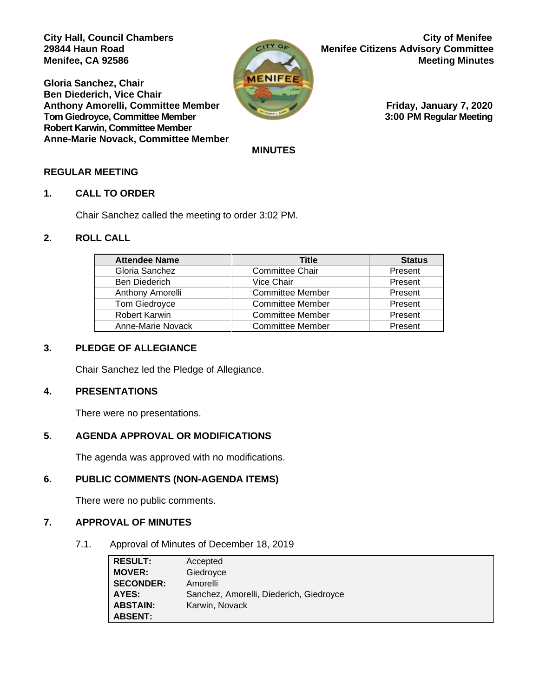**Gloria Sanchez, Chair Ben Diederich, Vice Chair Anthony Amorelli, Committee Member Friday, January 7, 2020 Tom Giedroyce, Committee Member 3:00 PM Regular Meeting Robert Karwin, Committee Member Anne-Marie Novack, Committee Member** 



**City Hall, Council Chambers City of Menifee 29844 Haun Road Menifee Citizens Advisory Committee Menifee, CA 92586 Meeting Minutes** 

 **MINUTES**

### **REGULAR MEETING**

#### **1. CALL TO ORDER**

Chair Sanchez called the meeting to order 3:02 PM.

#### **2. ROLL CALL**

| <b>Attendee Name</b> | <b>Title</b>            | <b>Status</b> |
|----------------------|-------------------------|---------------|
| Gloria Sanchez       | <b>Committee Chair</b>  | Present       |
| <b>Ben Diederich</b> | Vice Chair              | Present       |
| Anthony Amorelli     | <b>Committee Member</b> | Present       |
| Tom Giedroyce        | <b>Committee Member</b> | Present       |
| Robert Karwin        | <b>Committee Member</b> | Present       |
| Anne-Marie Novack    | <b>Committee Member</b> | Present       |

# **3. PLEDGE OF ALLEGIANCE**

Chair Sanchez led the Pledge of Allegiance.

#### **4. PRESENTATIONS**

There were no presentations.

### **5. AGENDA APPROVAL OR MODIFICATIONS**

The agenda was approved with no modifications.

## **6. PUBLIC COMMENTS (NON-AGENDA ITEMS)**

There were no public comments.

### **7. APPROVAL OF MINUTES**

7.1. Approval of Minutes of December 18, 2019

| <b>RESULT:</b>   | Accepted                                |
|------------------|-----------------------------------------|
| <b>MOVER:</b>    | Giedroyce                               |
| <b>SECONDER:</b> | Amorelli                                |
| AYES:            | Sanchez, Amorelli, Diederich, Giedroyce |
| <b>ABSTAIN:</b>  | Karwin, Novack                          |
| <b>ABSENT:</b>   |                                         |